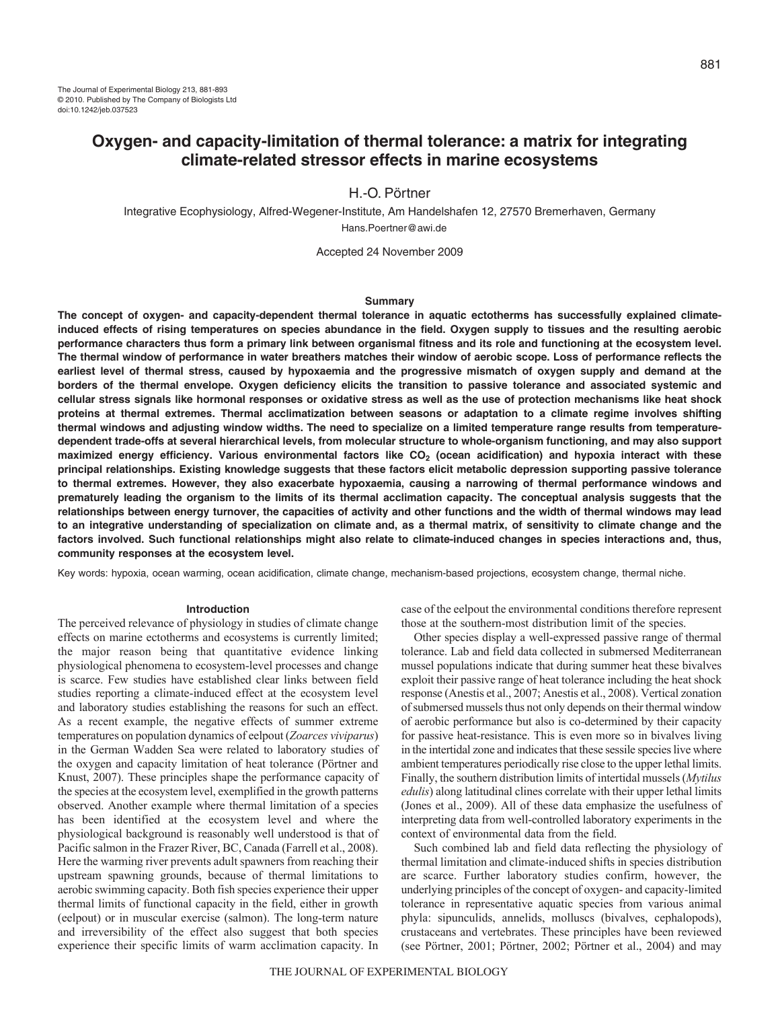Integrative Ecophysiology, Alfred-Wegener-Institute, Am Handelshafen 12, 27570 Bremerhaven, Germany Hans.Poertner@awi.de

Accepted 24 November 2009

### **Summary**

**The concept of oxygen- and capacity-dependent thermal tolerance in aquatic ectotherms has successfully explained climateinduced effects of rising temperatures on species abundance in the field. Oxygen supply to tissues and the resulting aerobic performance characters thus form a primary link between organismal fitness and its role and functioning at the ecosystem level. The thermal window of performance in water breathers matches their window of aerobic scope. Loss of performance reflects the earliest level of thermal stress, caused by hypoxaemia and the progressive mismatch of oxygen supply and demand at the borders of the thermal envelope. Oxygen deficiency elicits the transition to passive tolerance and associated systemic and cellular stress signals like hormonal responses or oxidative stress as well as the use of protection mechanisms like heat shock proteins at thermal extremes. Thermal acclimatization between seasons or adaptation to a climate regime involves shifting thermal windows and adjusting window widths. The need to specialize on a limited temperature range results from temperaturedependent trade-offs at several hierarchical levels, from molecular structure to whole-organism functioning, and may also support** maximized energy efficiency. Various environmental factors like CO<sub>2</sub> (ocean acidification) and hypoxia interact with these **principal relationships. Existing knowledge suggests that these factors elicit metabolic depression supporting passive tolerance to thermal extremes. However, they also exacerbate hypoxaemia, causing a narrowing of thermal performance windows and prematurely leading the organism to the limits of its thermal acclimation capacity. The conceptual analysis suggests that the relationships between energy turnover, the capacities of activity and other functions and the width of thermal windows may lead to an integrative understanding of specialization on climate and, as a thermal matrix, of sensitivity to climate change and the factors involved. Such functional relationships might also relate to climate-induced changes in species interactions and, thus, community responses at the ecosystem level.**

Key words: hypoxia, ocean warming, ocean acidification, climate change, mechanism-based projections, ecosystem change, thermal niche.

## **Introduction**

The perceived relevance of physiology in studies of climate change effects on marine ectotherms and ecosystems is currently limited; the major reason being that quantitative evidence linking physiological phenomena to ecosystem-level processes and change is scarce. Few studies have established clear links between field studies reporting a climate-induced effect at the ecosystem level and laboratory studies establishing the reasons for such an effect. As a recent example, the negative effects of summer extreme temperatures on population dynamics of eelpout (*Zoarces viviparus*) in the German Wadden Sea were related to laboratory studies of the oxygen and capacity limitation of heat tolerance (Pörtner and Knust, 2007). These principles shape the performance capacity of the species at the ecosystem level, exemplified in the growth patterns observed. Another example where thermal limitation of a species has been identified at the ecosystem level and where the physiological background is reasonably well understood is that of Pacific salmon in the Frazer River, BC, Canada (Farrell et al., 2008). Here the warming river prevents adult spawners from reaching their upstream spawning grounds, because of thermal limitations to aerobic swimming capacity. Both fish species experience their upper thermal limits of functional capacity in the field, either in growth (eelpout) or in muscular exercise (salmon). The long-term nature and irreversibility of the effect also suggest that both species experience their specific limits of warm acclimation capacity. In

case of the eelpout the environmental conditions therefore represent those at the southern-most distribution limit of the species.

Other species display a well-expressed passive range of thermal tolerance. Lab and field data collected in submersed Mediterranean mussel populations indicate that during summer heat these bivalves exploit their passive range of heat tolerance including the heat shock response (Anestis et al., 2007; Anestis et al., 2008). Vertical zonation of submersed mussels thus not only depends on their thermal window of aerobic performance but also is co-determined by their capacity for passive heat-resistance. This is even more so in bivalves living in the intertidal zone and indicates that these sessile species live where ambient temperatures periodically rise close to the upper lethal limits. Finally, the southern distribution limits of intertidal mussels (*Mytilus edulis*) along latitudinal clines correlate with their upper lethal limits (Jones et al., 2009). All of these data emphasize the usefulness of interpreting data from well-controlled laboratory experiments in the context of environmental data from the field.

Such combined lab and field data reflecting the physiology of thermal limitation and climate-induced shifts in species distribution are scarce. Further laboratory studies confirm, however, the underlying principles of the concept of oxygen- and capacity-limited tolerance in representative aquatic species from various animal phyla: sipunculids, annelids, molluscs (bivalves, cephalopods), crustaceans and vertebrates. These principles have been reviewed (see Pörtner, 2001; Pörtner, 2002; Pörtner et al., 2004) and may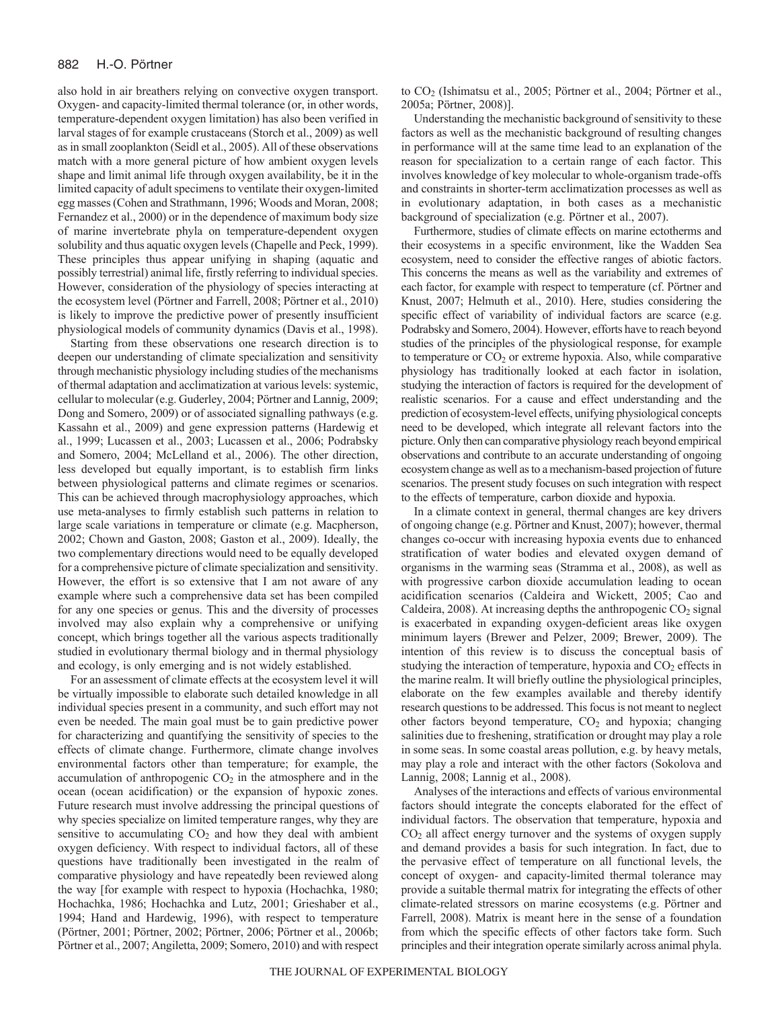also hold in air breathers relying on convective oxygen transport. Oxygen- and capacity-limited thermal tolerance (or, in other words, temperature-dependent oxygen limitation) has also been verified in larval stages of for example crustaceans (Storch et al., 2009) as well as in small zooplankton (Seidl et al., 2005). All of these observations match with a more general picture of how ambient oxygen levels shape and limit animal life through oxygen availability, be it in the limited capacity of adult specimens to ventilate their oxygen-limited egg masses (Cohen and Strathmann, 1996; Woods and Moran, 2008; Fernandez et al., 2000) or in the dependence of maximum body size of marine invertebrate phyla on temperature-dependent oxygen solubility and thus aquatic oxygen levels (Chapelle and Peck, 1999). These principles thus appear unifying in shaping (aquatic and possibly terrestrial) animal life, firstly referring to individual species. However, consideration of the physiology of species interacting at the ecosystem level (Pörtner and Farrell, 2008; Pörtner et al., 2010) is likely to improve the predictive power of presently insufficient physiological models of community dynamics (Davis et al., 1998).

Starting from these observations one research direction is to deepen our understanding of climate specialization and sensitivity through mechanistic physiology including studies of the mechanisms of thermal adaptation and acclimatization at various levels: systemic, cellular to molecular (e.g. Guderley, 2004; Pörtner and Lannig, 2009; Dong and Somero, 2009) or of associated signalling pathways (e.g. Kassahn et al., 2009) and gene expression patterns (Hardewig et al., 1999; Lucassen et al., 2003; Lucassen et al., 2006; Podrabsky and Somero, 2004; McLelland et al., 2006). The other direction, less developed but equally important, is to establish firm links between physiological patterns and climate regimes or scenarios. This can be achieved through macrophysiology approaches, which use meta-analyses to firmly establish such patterns in relation to large scale variations in temperature or climate (e.g. Macpherson, 2002; Chown and Gaston, 2008; Gaston et al., 2009). Ideally, the two complementary directions would need to be equally developed for a comprehensive picture of climate specialization and sensitivity. However, the effort is so extensive that I am not aware of any example where such a comprehensive data set has been compiled for any one species or genus. This and the diversity of processes involved may also explain why a comprehensive or unifying concept, which brings together all the various aspects traditionally studied in evolutionary thermal biology and in thermal physiology and ecology, is only emerging and is not widely established.

For an assessment of climate effects at the ecosystem level it will be virtually impossible to elaborate such detailed knowledge in all individual species present in a community, and such effort may not even be needed. The main goal must be to gain predictive power for characterizing and quantifying the sensitivity of species to the effects of climate change. Furthermore, climate change involves environmental factors other than temperature; for example, the accumulation of anthropogenic  $CO<sub>2</sub>$  in the atmosphere and in the ocean (ocean acidification) or the expansion of hypoxic zones. Future research must involve addressing the principal questions of why species specialize on limited temperature ranges, why they are sensitive to accumulating  $CO<sub>2</sub>$  and how they deal with ambient oxygen deficiency. With respect to individual factors, all of these questions have traditionally been investigated in the realm of comparative physiology and have repeatedly been reviewed along the way [for example with respect to hypoxia (Hochachka, 1980; Hochachka, 1986; Hochachka and Lutz, 2001; Grieshaber et al., 1994; Hand and Hardewig, 1996), with respect to temperature (Pörtner, 2001; Pörtner, 2002; Pörtner, 2006; Pörtner et al., 2006b; Pörtner et al., 2007; Angiletta, 2009; Somero, 2010) and with respect to CO2 (Ishimatsu et al., 2005; Pörtner et al., 2004; Pörtner et al., 2005a; Pörtner, 2008)].

Understanding the mechanistic background of sensitivity to these factors as well as the mechanistic background of resulting changes in performance will at the same time lead to an explanation of the reason for specialization to a certain range of each factor. This involves knowledge of key molecular to whole-organism trade-offs and constraints in shorter-term acclimatization processes as well as in evolutionary adaptation, in both cases as a mechanistic background of specialization (e.g. Pörtner et al., 2007).

Furthermore, studies of climate effects on marine ectotherms and their ecosystems in a specific environment, like the Wadden Sea ecosystem, need to consider the effective ranges of abiotic factors. This concerns the means as well as the variability and extremes of each factor, for example with respect to temperature (cf. Pörtner and Knust, 2007; Helmuth et al., 2010). Here, studies considering the specific effect of variability of individual factors are scarce (e.g. Podrabsky and Somero, 2004). However, efforts have to reach beyond studies of the principles of the physiological response, for example to temperature or  $CO<sub>2</sub>$  or extreme hypoxia. Also, while comparative physiology has traditionally looked at each factor in isolation, studying the interaction of factors is required for the development of realistic scenarios. For a cause and effect understanding and the prediction of ecosystem-level effects, unifying physiological concepts need to be developed, which integrate all relevant factors into the picture. Only then can comparative physiology reach beyond empirical observations and contribute to an accurate understanding of ongoing ecosystem change as well as to a mechanism-based projection of future scenarios. The present study focuses on such integration with respect to the effects of temperature, carbon dioxide and hypoxia.

In a climate context in general, thermal changes are key drivers of ongoing change (e.g. Pörtner and Knust, 2007); however, thermal changes co-occur with increasing hypoxia events due to enhanced stratification of water bodies and elevated oxygen demand of organisms in the warming seas (Stramma et al., 2008), as well as with progressive carbon dioxide accumulation leading to ocean acidification scenarios (Caldeira and Wickett, 2005; Cao and Caldeira, 2008). At increasing depths the anthropogenic  $CO<sub>2</sub>$  signal is exacerbated in expanding oxygen-deficient areas like oxygen minimum layers (Brewer and Pelzer, 2009; Brewer, 2009). The intention of this review is to discuss the conceptual basis of studying the interaction of temperature, hypoxia and  $CO<sub>2</sub>$  effects in the marine realm. It will briefly outline the physiological principles, elaborate on the few examples available and thereby identify research questions to be addressed. This focus is not meant to neglect other factors beyond temperature,  $CO<sub>2</sub>$  and hypoxia; changing salinities due to freshening, stratification or drought may play a role in some seas. In some coastal areas pollution, e.g. by heavy metals, may play a role and interact with the other factors (Sokolova and Lannig, 2008; Lannig et al., 2008).

Analyses of the interactions and effects of various environmental factors should integrate the concepts elaborated for the effect of individual factors. The observation that temperature, hypoxia and  $CO<sub>2</sub>$  all affect energy turnover and the systems of oxygen supply and demand provides a basis for such integration. In fact, due to the pervasive effect of temperature on all functional levels, the concept of oxygen- and capacity-limited thermal tolerance may provide a suitable thermal matrix for integrating the effects of other climate-related stressors on marine ecosystems (e.g. Pörtner and Farrell, 2008). Matrix is meant here in the sense of a foundation from which the specific effects of other factors take form. Such principles and their integration operate similarly across animal phyla.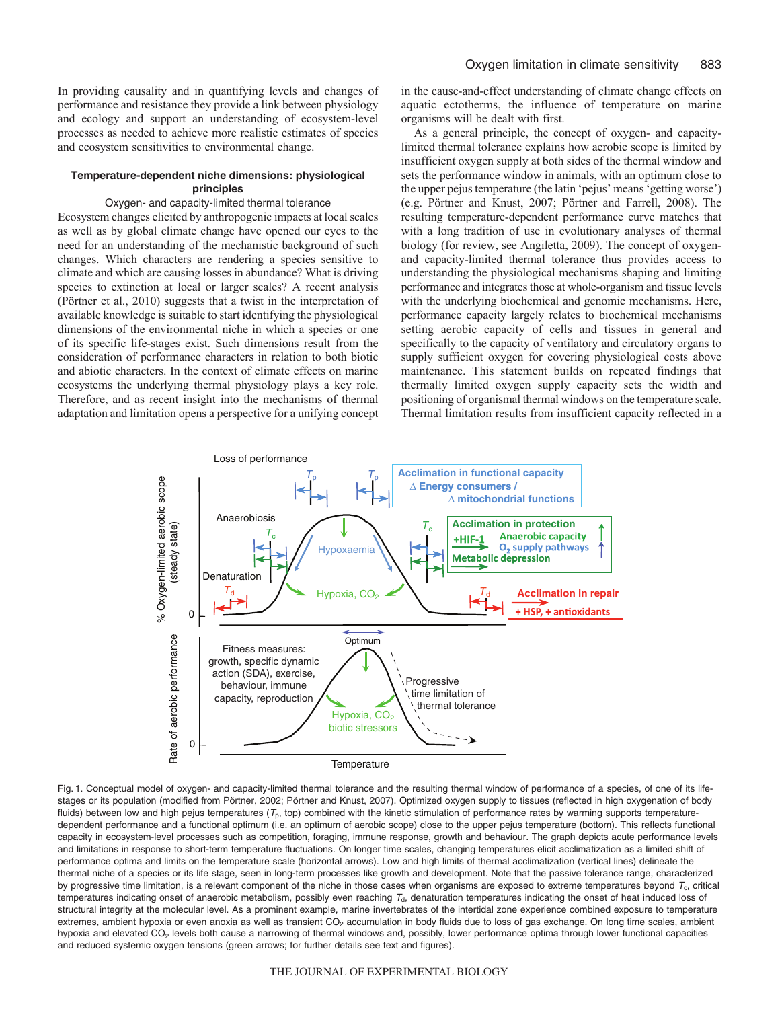In providing causality and in quantifying levels and changes of performance and resistance they provide a link between physiology and ecology and support an understanding of ecosystem-level processes as needed to achieve more realistic estimates of species and ecosystem sensitivities to environmental change.

# **Temperature-dependent niche dimensions: physiological principles**

# Oxygen- and capacity-limited thermal tolerance

Ecosystem changes elicited by anthropogenic impacts at local scales as well as by global climate change have opened our eyes to the need for an understanding of the mechanistic background of such changes. Which characters are rendering a species sensitive to climate and which are causing losses in abundance? What is driving species to extinction at local or larger scales? A recent analysis (Pörtner et al., 2010) suggests that a twist in the interpretation of available knowledge is suitable to start identifying the physiological dimensions of the environmental niche in which a species or one of its specific life-stages exist. Such dimensions result from the consideration of performance characters in relation to both biotic and abiotic characters. In the context of climate effects on marine ecosystems the underlying thermal physiology plays a key role. Therefore, and as recent insight into the mechanisms of thermal adaptation and limitation opens a perspective for a unifying concept

in the cause-and-effect understanding of climate change effects on aquatic ectotherms, the influence of temperature on marine organisms will be dealt with first.

As a general principle, the concept of oxygen- and capacitylimited thermal tolerance explains how aerobic scope is limited by insufficient oxygen supply at both sides of the thermal window and sets the performance window in animals, with an optimum close to the upper pejus temperature (the latin 'pejus' means 'getting worse') (e.g. Pörtner and Knust, 2007; Pörtner and Farrell, 2008). The resulting temperature-dependent performance curve matches that with a long tradition of use in evolutionary analyses of thermal biology (for review, see Angiletta, 2009). The concept of oxygenand capacity-limited thermal tolerance thus provides access to understanding the physiological mechanisms shaping and limiting performance and integrates those at whole-organism and tissue levels with the underlying biochemical and genomic mechanisms. Here, performance capacity largely relates to biochemical mechanisms setting aerobic capacity of cells and tissues in general and specifically to the capacity of ventilatory and circulatory organs to supply sufficient oxygen for covering physiological costs above maintenance. This statement builds on repeated findings that thermally limited oxygen supply capacity sets the width and positioning of organismal thermal windows on the temperature scale. Thermal limitation results from insufficient capacity reflected in a



Fig. 1. Conceptual model of oxygen- and capacity-limited thermal tolerance and the resulting thermal window of performance of a species, of one of its lifestages or its population (modified from Pörtner, 2002; Pörtner and Knust, 2007). Optimized oxygen supply to tissues (reflected in high oxygenation of body fluids) between low and high pejus temperatures ( $\tau_p$ , top) combined with the kinetic stimulation of performance rates by warming supports temperaturedependent performance and a functional optimum (i.e. an optimum of aerobic scope) close to the upper pejus temperature (bottom). This reflects functional capacity in ecosystem-level processes such as competition, foraging, immune response, growth and behaviour. The graph depicts acute performance levels and limitations in response to short-term temperature fluctuations. On longer time scales, changing temperatures elicit acclimatization as a limited shift of performance optima and limits on the temperature scale (horizontal arrows). Low and high limits of thermal acclimatization (vertical lines) delineate the thermal niche of a species or its life stage, seen in long-term processes like growth and development. Note that the passive tolerance range, characterized by progressive time limitation, is a relevant component of the niche in those cases when organisms are exposed to extreme temperatures beyond  $T_c$ , critical temperatures indicating onset of anaerobic metabolism, possibly even reaching  $T<sub>d</sub>$ , denaturation temperatures indicating the onset of heat induced loss of structural integrity at the molecular level. As a prominent example, marine invertebrates of the intertidal zone experience combined exposure to temperature extremes, ambient hypoxia or even anoxia as well as transient  $CO<sub>2</sub>$  accumulation in body fluids due to loss of gas exchange. On long time scales, ambient hypoxia and elevated CO<sub>2</sub> levels both cause a narrowing of thermal windows and, possibly, lower performance optima through lower functional capacities and reduced systemic oxygen tensions (green arrows; for further details see text and figures).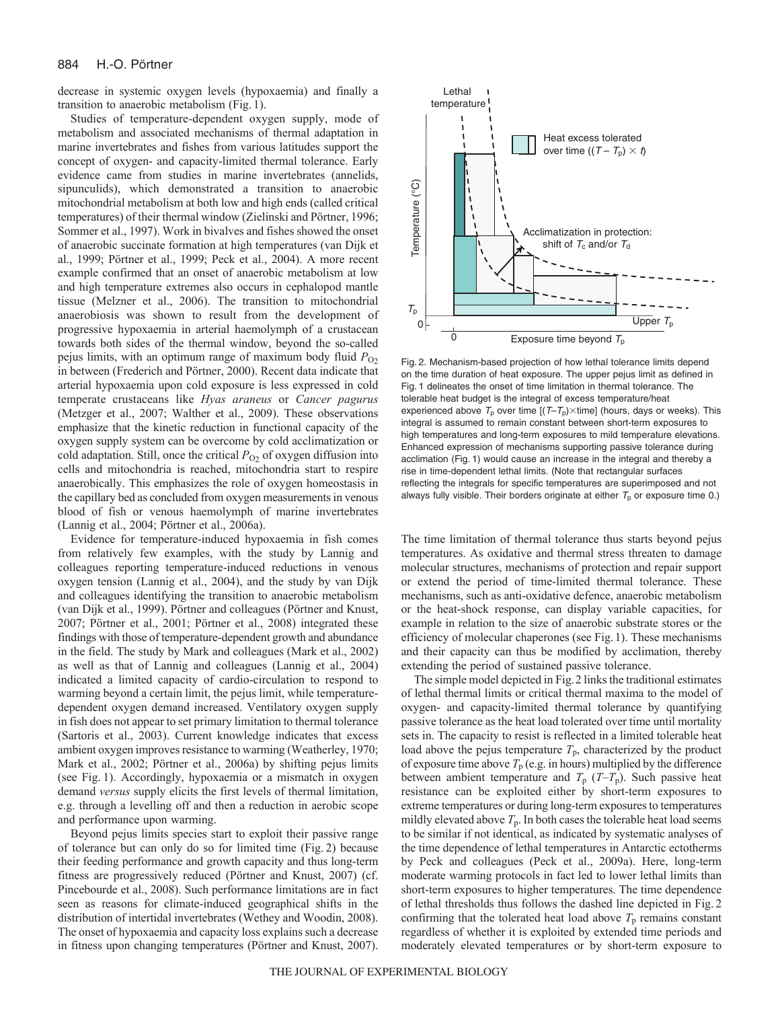decrease in systemic oxygen levels (hypoxaemia) and finally a transition to anaerobic metabolism (Fig. 1).

Studies of temperature-dependent oxygen supply, mode of metabolism and associated mechanisms of thermal adaptation in marine invertebrates and fishes from various latitudes support the concept of oxygen- and capacity-limited thermal tolerance. Early evidence came from studies in marine invertebrates (annelids, sipunculids), which demonstrated a transition to anaerobic mitochondrial metabolism at both low and high ends (called critical temperatures) of their thermal window (Zielinski and Pörtner, 1996; Sommer et al., 1997). Work in bivalves and fishes showed the onset of anaerobic succinate formation at high temperatures (van Dijk et al., 1999; Pörtner et al., 1999; Peck et al., 2004). A more recent example confirmed that an onset of anaerobic metabolism at low and high temperature extremes also occurs in cephalopod mantle tissue (Melzner et al., 2006). The transition to mitochondrial anaerobiosis was shown to result from the development of progressive hypoxaemia in arterial haemolymph of a crustacean towards both sides of the thermal window, beyond the so-called pejus limits, with an optimum range of maximum body fluid  $P_{O2}$ in between (Frederich and Pörtner, 2000). Recent data indicate that arterial hypoxaemia upon cold exposure is less expressed in cold temperate crustaceans like *Hyas araneus* or *Cancer pagurus* (Metzger et al., 2007; Walther et al., 2009). These observations emphasize that the kinetic reduction in functional capacity of the oxygen supply system can be overcome by cold acclimatization or cold adaptation. Still, once the critical  $P_{O_2}$  of oxygen diffusion into cells and mitochondria is reached, mitochondria start to respire anaerobically. This emphasizes the role of oxygen homeostasis in the capillary bed as concluded from oxygen measurements in venous blood of fish or venous haemolymph of marine invertebrates (Lannig et al., 2004; Pörtner et al., 2006a).

Evidence for temperature-induced hypoxaemia in fish comes from relatively few examples, with the study by Lannig and colleagues reporting temperature-induced reductions in venous oxygen tension (Lannig et al., 2004), and the study by van Dijk and colleagues identifying the transition to anaerobic metabolism (van Dijk et al., 1999). Pörtner and colleagues (Pörtner and Knust, 2007; Pörtner et al., 2001; Pörtner et al., 2008) integrated these findings with those of temperature-dependent growth and abundance in the field. The study by Mark and colleagues (Mark et al., 2002) as well as that of Lannig and colleagues (Lannig et al., 2004) indicated a limited capacity of cardio-circulation to respond to warming beyond a certain limit, the pejus limit, while temperaturedependent oxygen demand increased. Ventilatory oxygen supply in fish does not appear to set primary limitation to thermal tolerance (Sartoris et al., 2003). Current knowledge indicates that excess ambient oxygen improves resistance to warming (Weatherley, 1970; Mark et al., 2002; Pörtner et al., 2006a) by shifting pejus limits (see Fig. 1). Accordingly, hypoxaemia or a mismatch in oxygen demand *versus* supply elicits the first levels of thermal limitation, e.g. through a levelling off and then a reduction in aerobic scope and performance upon warming.

Beyond pejus limits species start to exploit their passive range of tolerance but can only do so for limited time (Fig. 2) because their feeding performance and growth capacity and thus long-term fitness are progressively reduced (Pörtner and Knust, 2007) (cf. Pincebourde et al., 2008). Such performance limitations are in fact seen as reasons for climate-induced geographical shifts in the distribution of intertidal invertebrates (Wethey and Woodin, 2008). The onset of hypoxaemia and capacity loss explains such a decrease in fitness upon changing temperatures (Pörtner and Knust, 2007).



Fig. 2. Mechanism-based projection of how lethal tolerance limits depend on the time duration of heat exposure. The upper pejus limit as defined in Fig. 1 delineates the onset of time limitation in thermal tolerance. The tolerable heat budget is the integral of excess temperature/heat experienced above  $T_{\rm p}$  over time [(T-T<sub>p</sub>) $\times$ time] (hours, days or weeks). This integral is assumed to remain constant between short-term exposures to high temperatures and long-term exposures to mild temperature elevations. Enhanced expression of mechanisms supporting passive tolerance during acclimation (Fig. 1) would cause an increase in the integral and thereby a rise in time-dependent lethal limits. (Note that rectangular surfaces reflecting the integrals for specific temperatures are superimposed and not always fully visible. Their borders originate at either  $T_p$  or exposure time 0.)

The time limitation of thermal tolerance thus starts beyond pejus temperatures. As oxidative and thermal stress threaten to damage molecular structures, mechanisms of protection and repair support or extend the period of time-limited thermal tolerance. These mechanisms, such as anti-oxidative defence, anaerobic metabolism or the heat-shock response, can display variable capacities, for example in relation to the size of anaerobic substrate stores or the efficiency of molecular chaperones (see Fig.1). These mechanisms and their capacity can thus be modified by acclimation, thereby extending the period of sustained passive tolerance.

The simple model depicted in Fig.2 links the traditional estimates of lethal thermal limits or critical thermal maxima to the model of oxygen- and capacity-limited thermal tolerance by quantifying passive tolerance as the heat load tolerated over time until mortality sets in. The capacity to resist is reflected in a limited tolerable heat load above the pejus temperature  $T_p$ , characterized by the product of exposure time above  $T_p$  (e.g. in hours) multiplied by the difference between ambient temperature and  $T_p$  ( $T-T_p$ ). Such passive heat resistance can be exploited either by short-term exposures to extreme temperatures or during long-term exposures to temperatures mildly elevated above  $T_p$ . In both cases the tolerable heat load seems to be similar if not identical, as indicated by systematic analyses of the time dependence of lethal temperatures in Antarctic ectotherms by Peck and colleagues (Peck et al., 2009a). Here, long-term moderate warming protocols in fact led to lower lethal limits than short-term exposures to higher temperatures. The time dependence of lethal thresholds thus follows the dashed line depicted in Fig. 2 confirming that the tolerated heat load above  $T_p$  remains constant regardless of whether it is exploited by extended time periods and moderately elevated temperatures or by short-term exposure to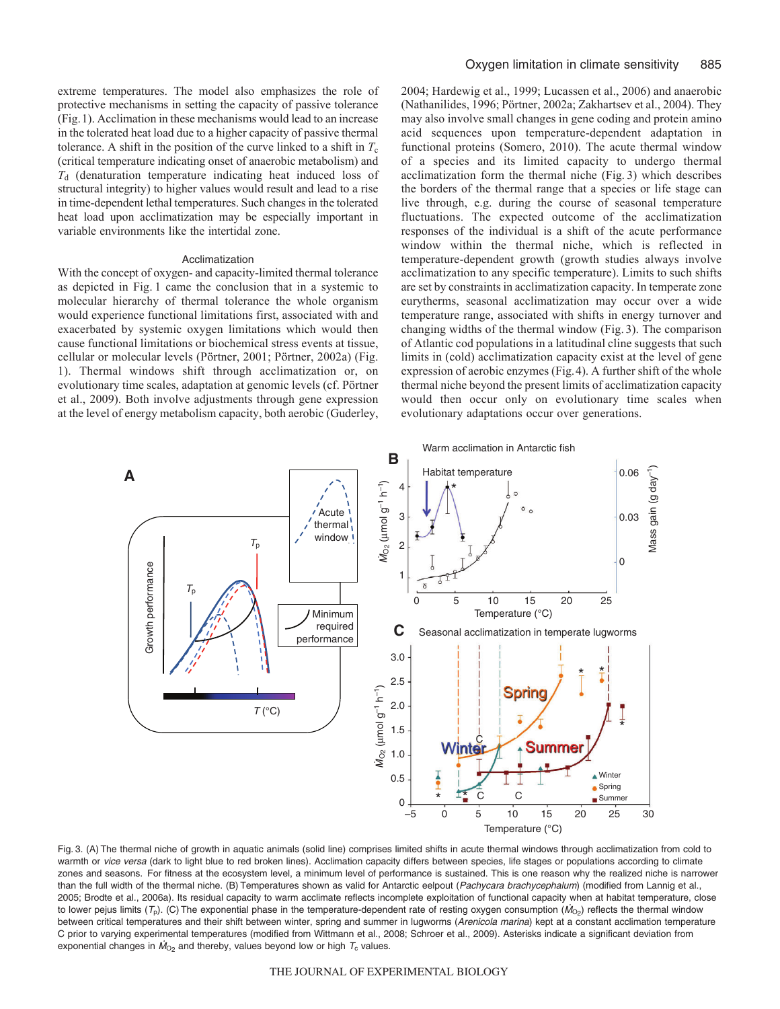extreme temperatures. The model also emphasizes the role of protective mechanisms in setting the capacity of passive tolerance (Fig.1). Acclimation in these mechanisms would lead to an increase in the tolerated heat load due to a higher capacity of passive thermal tolerance. A shift in the position of the curve linked to a shift in  $T_c$ (critical temperature indicating onset of anaerobic metabolism) and *T*<sup>d</sup> (denaturation temperature indicating heat induced loss of structural integrity) to higher values would result and lead to a rise in time-dependent lethal temperatures. Such changes in the tolerated heat load upon acclimatization may be especially important in variable environments like the intertidal zone.

### Acclimatization

With the concept of oxygen- and capacity-limited thermal tolerance as depicted in Fig. 1 came the conclusion that in a systemic to molecular hierarchy of thermal tolerance the whole organism would experience functional limitations first, associated with and exacerbated by systemic oxygen limitations which would then cause functional limitations or biochemical stress events at tissue, cellular or molecular levels (Pörtner, 2001; Pörtner, 2002a) (Fig. 1). Thermal windows shift through acclimatization or, on evolutionary time scales, adaptation at genomic levels (cf. Pörtner et al., 2009). Both involve adjustments through gene expression at the level of energy metabolism capacity, both aerobic (Guderley, 2004; Hardewig et al., 1999; Lucassen et al., 2006) and anaerobic (Nathanilides, 1996; Pörtner, 2002a; Zakhartsev et al., 2004). They may also involve small changes in gene coding and protein amino acid sequences upon temperature-dependent adaptation in functional proteins (Somero, 2010). The acute thermal window of a species and its limited capacity to undergo thermal acclimatization form the thermal niche (Fig. 3) which describes the borders of the thermal range that a species or life stage can live through, e.g. during the course of seasonal temperature fluctuations. The expected outcome of the acclimatization responses of the individual is a shift of the acute performance window within the thermal niche, which is reflected in temperature-dependent growth (growth studies always involve acclimatization to any specific temperature). Limits to such shifts are set by constraints in acclimatization capacity. In temperate zone eurytherms, seasonal acclimatization may occur over a wide temperature range, associated with shifts in energy turnover and changing widths of the thermal window (Fig. 3). The comparison of Atlantic cod populations in a latitudinal cline suggests that such limits in (cold) acclimatization capacity exist at the level of gene expression of aerobic enzymes (Fig.4). A further shift of the whole thermal niche beyond the present limits of acclimatization capacity would then occur only on evolutionary time scales when evolutionary adaptations occur over generations.



Fig. 3. (A) The thermal niche of growth in aquatic animals (solid line) comprises limited shifts in acute thermal windows through acclimatization from cold to warmth or vice versa (dark to light blue to red broken lines). Acclimation capacity differs between species, life stages or populations according to climate zones and seasons. For fitness at the ecosystem level, a minimum level of performance is sustained. This is one reason why the realized niche is narrower than the full width of the thermal niche. (B) Temperatures shown as valid for Antarctic eelpout (Pachycara brachycephalum) (modified from Lannig et al., 2005; Brodte et al., 2006a). Its residual capacity to warm acclimate reflects incomplete exploitation of functional capacity when at habitat temperature, close to lower pejus limits ( $T_p$ ). (C) The exponential phase in the temperature-dependent rate of resting oxygen consumption ( $M_{O<sub>2</sub>}$ ) reflects the thermal window between critical temperatures and their shift between winter, spring and summer in lugworms (Arenicola marina) kept at a constant acclimation temperature C prior to varying experimental temperatures (modified from Wittmann et al., 2008; Schroer et al., 2009). Asterisks indicate a significant deviation from exponential changes in  $\dot{M}_{\odot}$  and thereby, values beyond low or high  $T_c$  values.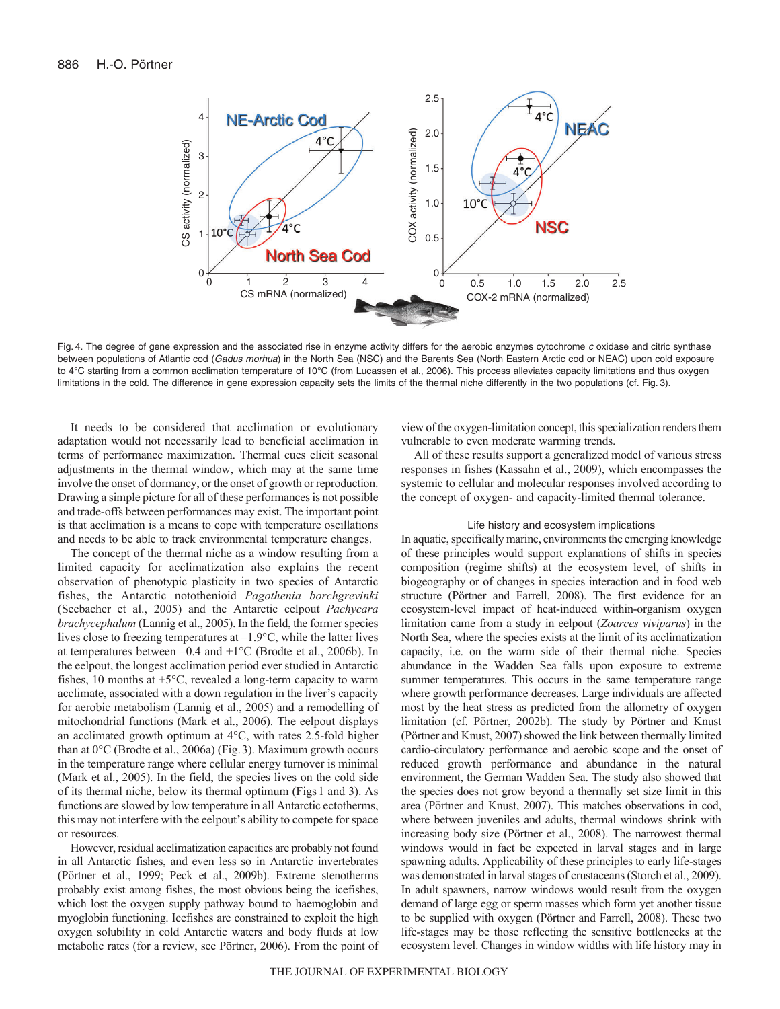

Fig. 4. The degree of gene expression and the associated rise in enzyme activity differs for the aerobic enzymes cytochrome <sup>c</sup> oxidase and citric synthase between populations of Atlantic cod (Gadus morhua) in the North Sea (NSC) and the Barents Sea (North Eastern Arctic cod or NEAC) upon cold exposure to 4°C starting from a common acclimation temperature of 10°C (from Lucassen et al., 2006). This process alleviates capacity limitations and thus oxygen limitations in the cold. The difference in gene expression capacity sets the limits of the thermal niche differently in the two populations (cf. Fig. 3).

It needs to be considered that acclimation or evolutionary adaptation would not necessarily lead to beneficial acclimation in terms of performance maximization. Thermal cues elicit seasonal adjustments in the thermal window, which may at the same time involve the onset of dormancy, or the onset of growth or reproduction. Drawing a simple picture for all of these performances is not possible and trade-offs between performances may exist. The important point is that acclimation is a means to cope with temperature oscillations and needs to be able to track environmental temperature changes.

The concept of the thermal niche as a window resulting from a limited capacity for acclimatization also explains the recent observation of phenotypic plasticity in two species of Antarctic fishes, the Antarctic notothenioid *Pagothenia borchgrevinki* (Seebacher et al., 2005) and the Antarctic eelpout *Pachycara brachycephalum* (Lannig et al., 2005). In the field, the former species lives close to freezing temperatures at –1.9°C, while the latter lives at temperatures between  $-0.4$  and  $+1^{\circ}$ C (Brodte et al., 2006b). In the eelpout, the longest acclimation period ever studied in Antarctic fishes, 10 months at  $+5^{\circ}$ C, revealed a long-term capacity to warm acclimate, associated with a down regulation in the liver's capacity for aerobic metabolism (Lannig et al., 2005) and a remodelling of mitochondrial functions (Mark et al., 2006). The eelpout displays an acclimated growth optimum at 4°C, with rates 2.5-fold higher than at 0°C (Brodte et al., 2006a) (Fig.3). Maximum growth occurs in the temperature range where cellular energy turnover is minimal (Mark et al., 2005). In the field, the species lives on the cold side of its thermal niche, below its thermal optimum (Figs 1 and 3). As functions are slowed by low temperature in all Antarctic ectotherms, this may not interfere with the eelpout's ability to compete for space or resources.

However, residual acclimatization capacities are probably not found in all Antarctic fishes, and even less so in Antarctic invertebrates (Pörtner et al., 1999; Peck et al., 2009b). Extreme stenotherms probably exist among fishes, the most obvious being the icefishes, which lost the oxygen supply pathway bound to haemoglobin and myoglobin functioning. Icefishes are constrained to exploit the high oxygen solubility in cold Antarctic waters and body fluids at low metabolic rates (for a review, see Pörtner, 2006). From the point of view of the oxygen-limitation concept, this specialization renders them vulnerable to even moderate warming trends.

All of these results support a generalized model of various stress responses in fishes (Kassahn et al., 2009), which encompasses the systemic to cellular and molecular responses involved according to the concept of oxygen- and capacity-limited thermal tolerance.

## Life history and ecosystem implications

In aquatic, specifically marine, environments the emerging knowledge of these principles would support explanations of shifts in species composition (regime shifts) at the ecosystem level, of shifts in biogeography or of changes in species interaction and in food web structure (Pörtner and Farrell, 2008). The first evidence for an ecosystem-level impact of heat-induced within-organism oxygen limitation came from a study in eelpout (*Zoarces viviparus*) in the North Sea, where the species exists at the limit of its acclimatization capacity, i.e. on the warm side of their thermal niche. Species abundance in the Wadden Sea falls upon exposure to extreme summer temperatures. This occurs in the same temperature range where growth performance decreases. Large individuals are affected most by the heat stress as predicted from the allometry of oxygen limitation (cf. Pörtner, 2002b). The study by Pörtner and Knust (Pörtner and Knust, 2007) showed the link between thermally limited cardio-circulatory performance and aerobic scope and the onset of reduced growth performance and abundance in the natural environment, the German Wadden Sea. The study also showed that the species does not grow beyond a thermally set size limit in this area (Pörtner and Knust, 2007). This matches observations in cod, where between juveniles and adults, thermal windows shrink with increasing body size (Pörtner et al., 2008). The narrowest thermal windows would in fact be expected in larval stages and in large spawning adults. Applicability of these principles to early life-stages was demonstrated in larval stages of crustaceans (Storch et al., 2009). In adult spawners, narrow windows would result from the oxygen demand of large egg or sperm masses which form yet another tissue to be supplied with oxygen (Pörtner and Farrell, 2008). These two life-stages may be those reflecting the sensitive bottlenecks at the ecosystem level. Changes in window widths with life history may in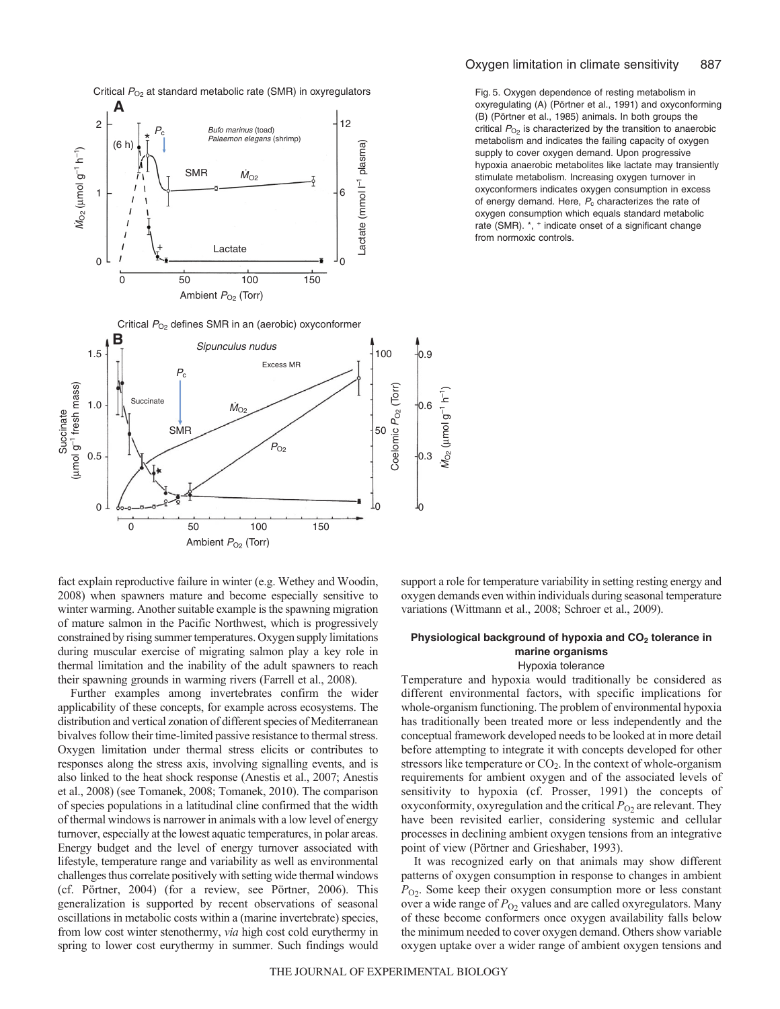

fact explain reproductive failure in winter (e.g. Wethey and Woodin, 2008) when spawners mature and become especially sensitive to winter warming. Another suitable example is the spawning migration of mature salmon in the Pacific Northwest, which is progressively constrained by rising summer temperatures. Oxygen supply limitations during muscular exercise of migrating salmon play a key role in thermal limitation and the inability of the adult spawners to reach their spawning grounds in warming rivers (Farrell et al., 2008).

Further examples among invertebrates confirm the wider applicability of these concepts, for example across ecosystems. The distribution and vertical zonation of different species of Mediterranean bivalves follow their time-limited passive resistance to thermal stress. Oxygen limitation under thermal stress elicits or contributes to responses along the stress axis, involving signalling events, and is also linked to the heat shock response (Anestis et al., 2007; Anestis et al., 2008) (see Tomanek, 2008; Tomanek, 2010). The comparison of species populations in a latitudinal cline confirmed that the width of thermal windows is narrower in animals with a low level of energy turnover, especially at the lowest aquatic temperatures, in polar areas. Energy budget and the level of energy turnover associated with lifestyle, temperature range and variability as well as environmental challenges thus correlate positively with setting wide thermal windows (cf. Pörtner, 2004) (for a review, see Pörtner, 2006). This generalization is supported by recent observations of seasonal oscillations in metabolic costs within a (marine invertebrate) species, from low cost winter stenothermy, *via* high cost cold eurythermy in spring to lower cost eurythermy in summer. Such findings would

Fig. 5. Oxygen dependence of resting metabolism in oxyregulating (A) (Pörtner et al., 1991) and oxyconforming (B) (Pörtner et al., 1985) animals. In both groups the critical  $P_{\text{O}_2}$  is characterized by the transition to anaerobic metabolism and indicates the failing capacity of oxygen supply to cover oxygen demand. Upon progressive hypoxia anaerobic metabolites like lactate may transiently stimulate metabolism. Increasing oxygen turnover in oxyconformers indicates oxygen consumption in excess of energy demand. Here,  $P_c$  characterizes the rate of oxygen consumption which equals standard metabolic rate (SMR). \*, + indicate onset of a significant change from normoxic controls.

support a role for temperature variability in setting resting energy and oxygen demands even within individuals during seasonal temperature variations (Wittmann et al., 2008; Schroer et al., 2009).

## Physiological background of hypoxia and CO<sub>2</sub> tolerance in **marine organisms** Hypoxia tolerance

Temperature and hypoxia would traditionally be considered as different environmental factors, with specific implications for whole-organism functioning. The problem of environmental hypoxia has traditionally been treated more or less independently and the conceptual framework developed needs to be looked at in more detail before attempting to integrate it with concepts developed for other stressors like temperature or  $CO<sub>2</sub>$ . In the context of whole-organism requirements for ambient oxygen and of the associated levels of sensitivity to hypoxia (cf. Prosser, 1991) the concepts of oxyconformity, oxyregulation and the critical  $P_{O2}$  are relevant. They have been revisited earlier, considering systemic and cellular processes in declining ambient oxygen tensions from an integrative point of view (Pörtner and Grieshaber, 1993).

It was recognized early on that animals may show different patterns of oxygen consumption in response to changes in ambient *P*O2. Some keep their oxygen consumption more or less constant over a wide range of  $P_{O2}$  values and are called oxyregulators. Many of these become conformers once oxygen availability falls below the minimum needed to cover oxygen demand. Others show variable oxygen uptake over a wider range of ambient oxygen tensions and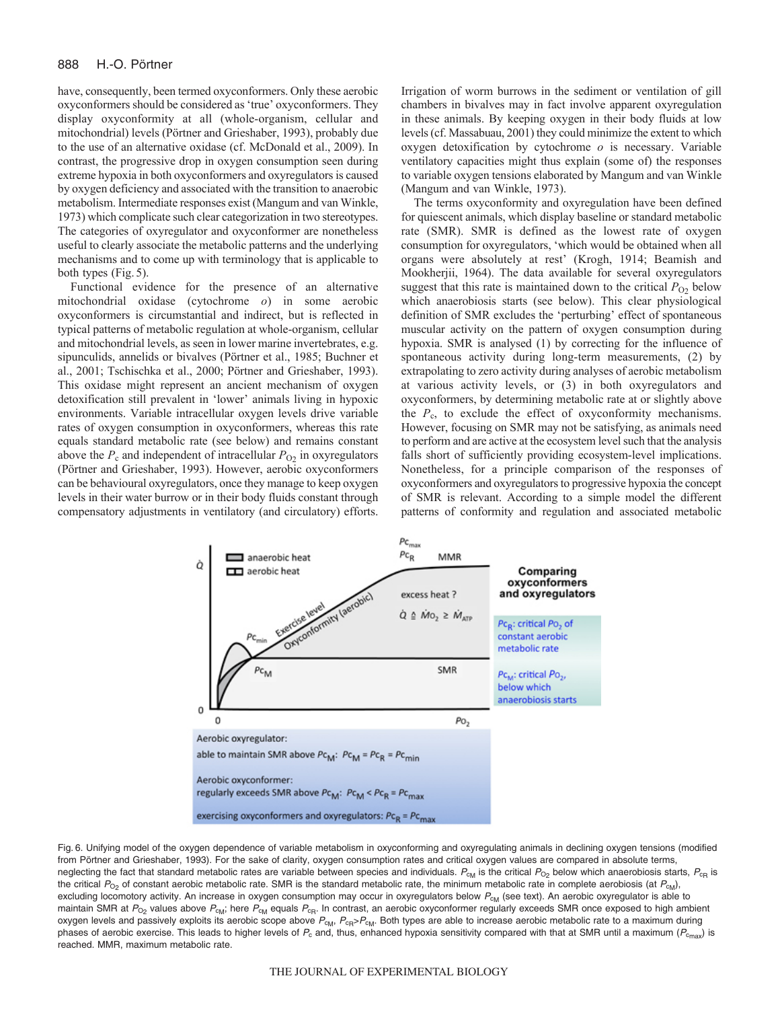have, consequently, been termed oxyconformers. Only these aerobic oxyconformers should be considered as 'true' oxyconformers. They display oxyconformity at all (whole-organism, cellular and mitochondrial) levels (Pörtner and Grieshaber, 1993), probably due to the use of an alternative oxidase (cf. McDonald et al., 2009). In contrast, the progressive drop in oxygen consumption seen during extreme hypoxia in both oxyconformers and oxyregulators is caused by oxygen deficiency and associated with the transition to anaerobic metabolism. Intermediate responses exist (Mangum and van Winkle, 1973) which complicate such clear categorization in two stereotypes. The categories of oxyregulator and oxyconformer are nonetheless useful to clearly associate the metabolic patterns and the underlying mechanisms and to come up with terminology that is applicable to both types (Fig. 5).

Functional evidence for the presence of an alternative mitochondrial oxidase (cytochrome *o*) in some aerobic oxyconformers is circumstantial and indirect, but is reflected in typical patterns of metabolic regulation at whole-organism, cellular and mitochondrial levels, as seen in lower marine invertebrates, e.g. sipunculids, annelids or bivalves (Pörtner et al., 1985; Buchner et al., 2001; Tschischka et al., 2000; Pörtner and Grieshaber, 1993). This oxidase might represent an ancient mechanism of oxygen detoxification still prevalent in 'lower' animals living in hypoxic environments. Variable intracellular oxygen levels drive variable rates of oxygen consumption in oxyconformers, whereas this rate equals standard metabolic rate (see below) and remains constant above the  $P_c$  and independent of intracellular  $P_{O_2}$  in oxyregulators (Pörtner and Grieshaber, 1993). However, aerobic oxyconformers can be behavioural oxyregulators, once they manage to keep oxygen levels in their water burrow or in their body fluids constant through compensatory adjustments in ventilatory (and circulatory) efforts. Irrigation of worm burrows in the sediment or ventilation of gill chambers in bivalves may in fact involve apparent oxyregulation in these animals. By keeping oxygen in their body fluids at low levels (cf. Massabuau, 2001) they could minimize the extent to which oxygen detoxification by cytochrome *o* is necessary. Variable ventilatory capacities might thus explain (some of) the responses to variable oxygen tensions elaborated by Mangum and van Winkle (Mangum and van Winkle, 1973).

The terms oxyconformity and oxyregulation have been defined for quiescent animals, which display baseline or standard metabolic rate (SMR). SMR is defined as the lowest rate of oxygen consumption for oxyregulators, 'which would be obtained when all organs were absolutely at rest' (Krogh, 1914; Beamish and Mookherjii, 1964). The data available for several oxyregulators suggest that this rate is maintained down to the critical  $P_{O2}$  below which anaerobiosis starts (see below). This clear physiological definition of SMR excludes the 'perturbing' effect of spontaneous muscular activity on the pattern of oxygen consumption during hypoxia. SMR is analysed (1) by correcting for the influence of spontaneous activity during long-term measurements, (2) by extrapolating to zero activity during analyses of aerobic metabolism at various activity levels, or (3) in both oxyregulators and oxyconformers, by determining metabolic rate at or slightly above the  $P_c$ , to exclude the effect of oxyconformity mechanisms. However, focusing on SMR may not be satisfying, as animals need to perform and are active at the ecosystem level such that the analysis falls short of sufficiently providing ecosystem-level implications. Nonetheless, for a principle comparison of the responses of oxyconformers and oxyregulators to progressive hypoxia the concept of SMR is relevant. According to a simple model the different patterns of conformity and regulation and associated metabolic



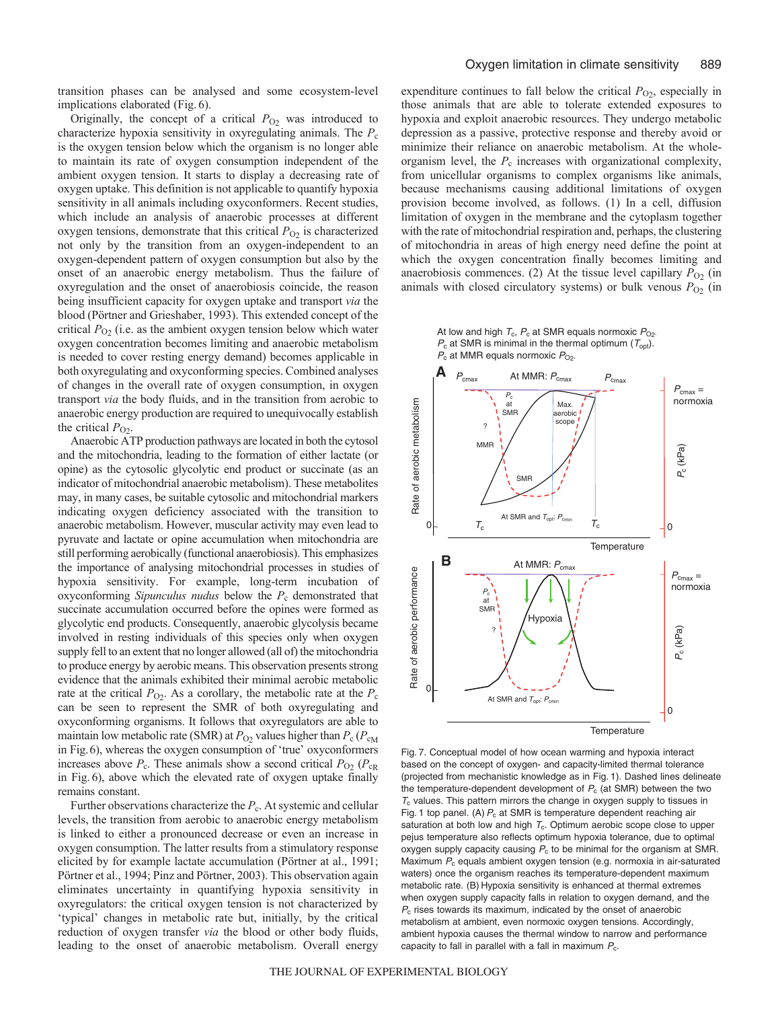transition phases can be analysed and some ecosystem-level implications elaborated (Fig. 6).

Originally, the concept of a critical  $P_{O_2}$  was introduced to characterize hypoxia sensitivity in oxyregulating animals. The *P*<sup>c</sup> is the oxygen tension below which the organism is no longer able to maintain its rate of oxygen consumption independent of the ambient oxygen tension. It starts to display a decreasing rate of oxygen uptake. This definition is not applicable to quantify hypoxia sensitivity in all animals including oxyconformers. Recent studies, which include an analysis of anaerobic processes at different oxygen tensions, demonstrate that this critical  $P_{O2}$  is characterized not only by the transition from an oxygen-independent to an oxygen-dependent pattern of oxygen consumption but also by the onset of an anaerobic energy metabolism. Thus the failure of oxyregulation and the onset of anaerobiosis coincide, the reason being insufficient capacity for oxygen uptake and transport *via* the blood (Pörtner and Grieshaber, 1993). This extended concept of the critical  $P_{O_2}$  (i.e. as the ambient oxygen tension below which water oxygen concentration becomes limiting and anaerobic metabolism is needed to cover resting energy demand) becomes applicable in both oxyregulating and oxyconforming species. Combined analyses of changes in the overall rate of oxygen consumption, in oxygen transport *via* the body fluids, and in the transition from aerobic to anaerobic energy production are required to unequivocally establish the critical  $P_{O_2}$ .

Anaerobic ATP production pathways are located in both the cytosol and the mitochondria, leading to the formation of either lactate (or opine) as the cytosolic glycolytic end product or succinate (as an indicator of mitochondrial anaerobic metabolism). These metabolites may, in many cases, be suitable cytosolic and mitochondrial markers indicating oxygen deficiency associated with the transition to anaerobic metabolism. However, muscular activity may even lead to pyruvate and lactate or opine accumulation when mitochondria are still performing aerobically (functional anaerobiosis). This emphasizes the importance of analysing mitochondrial processes in studies of hypoxia sensitivity. For example, long-term incubation of oxyconforming *Sipunculus nudus* below the *P*<sup>c</sup> demonstrated that succinate accumulation occurred before the opines were formed as glycolytic end products. Consequently, anaerobic glycolysis became involved in resting individuals of this species only when oxygen supply fell to an extent that no longer allowed (all of) the mitochondria to produce energy by aerobic means. This observation presents strong evidence that the animals exhibited their minimal aerobic metabolic rate at the critical  $P_{\text{O2}}$ . As a corollary, the metabolic rate at the  $P_c$ can be seen to represent the SMR of both oxyregulating and oxyconforming organisms. It follows that oxyregulators are able to maintain low metabolic rate (SMR) at  $P_{\text{O2}}$  values higher than  $P_{\text{c}}$  ( $P_{\text{cM}}$ in Fig.6), whereas the oxygen consumption of 'true' oxyconformers increases above  $P_c$ . These animals show a second critical  $P_{O_2}$  ( $P_{cR}$ ) in Fig. 6), above which the elevated rate of oxygen uptake finally remains constant.

Further observations characterize the *P*c. At systemic and cellular levels, the transition from aerobic to anaerobic energy metabolism is linked to either a pronounced decrease or even an increase in oxygen consumption. The latter results from a stimulatory response elicited by for example lactate accumulation (Pörtner at al., 1991; Pörtner et al., 1994; Pinz and Pörtner, 2003). This observation again eliminates uncertainty in quantifying hypoxia sensitivity in oxyregulators: the critical oxygen tension is not characterized by 'typical' changes in metabolic rate but, initially, by the critical reduction of oxygen transfer *via* the blood or other body fluids, leading to the onset of anaerobic metabolism. Overall energy expenditure continues to fall below the critical  $P_{\text{O}_2}$ , especially in those animals that are able to tolerate extended exposures to hypoxia and exploit anaerobic resources. They undergo metabolic depression as a passive, protective response and thereby avoid or minimize their reliance on anaerobic metabolism. At the wholeorganism level, the  $P_c$  increases with organizational complexity, from unicellular organisms to complex organisms like animals, because mechanisms causing additional limitations of oxygen provision become involved, as follows. (1) In a cell, diffusion limitation of oxygen in the membrane and the cytoplasm together with the rate of mitochondrial respiration and, perhaps, the clustering of mitochondria in areas of high energy need define the point at which the oxygen concentration finally becomes limiting and anaerobiosis commences. (2) At the tissue level capillary  $P_{O2}$  (in animals with closed circulatory systems) or bulk venous  $P_{O_2}$  (in

At low and high  $T_c$ ,  $P_c$  at SMR equals normoxic  $P_{O2}$ .  $P_c$  at SMR is minimal in the thermal optimum ( $T_{opt}$ ). *P*<sub>c</sub> at MMR equals normoxic *P*<sub>O2</sub>



Fig. 7. Conceptual model of how ocean warming and hypoxia interact based on the concept of oxygen- and capacity-limited thermal tolerance (projected from mechanistic knowledge as in Fig. 1). Dashed lines delineate the temperature-dependent development of  $P_c$  (at SMR) between the two  $T_c$  values. This pattern mirrors the change in oxygen supply to tissues in Fig. 1 top panel. (A)  $P_c$  at SMR is temperature dependent reaching air saturation at both low and high  $T_c$ . Optimum aerobic scope close to upper pejus temperature also reflects optimum hypoxia tolerance, due to optimal oxygen supply capacity causing  $P_c$  to be minimal for the organism at SMR. Maximum  $P_c$  equals ambient oxygen tension (e.g. normoxia in air-saturated waters) once the organism reaches its temperature-dependent maximum metabolic rate. (B) Hypoxia sensitivity is enhanced at thermal extremes when oxygen supply capacity falls in relation to oxygen demand, and the  $P_c$  rises towards its maximum, indicated by the onset of anaerobic metabolism at ambient, even normoxic oxygen tensions. Accordingly, ambient hypoxia causes the thermal window to narrow and performance capacity to fall in parallel with a fall in maximum  $P_c$ .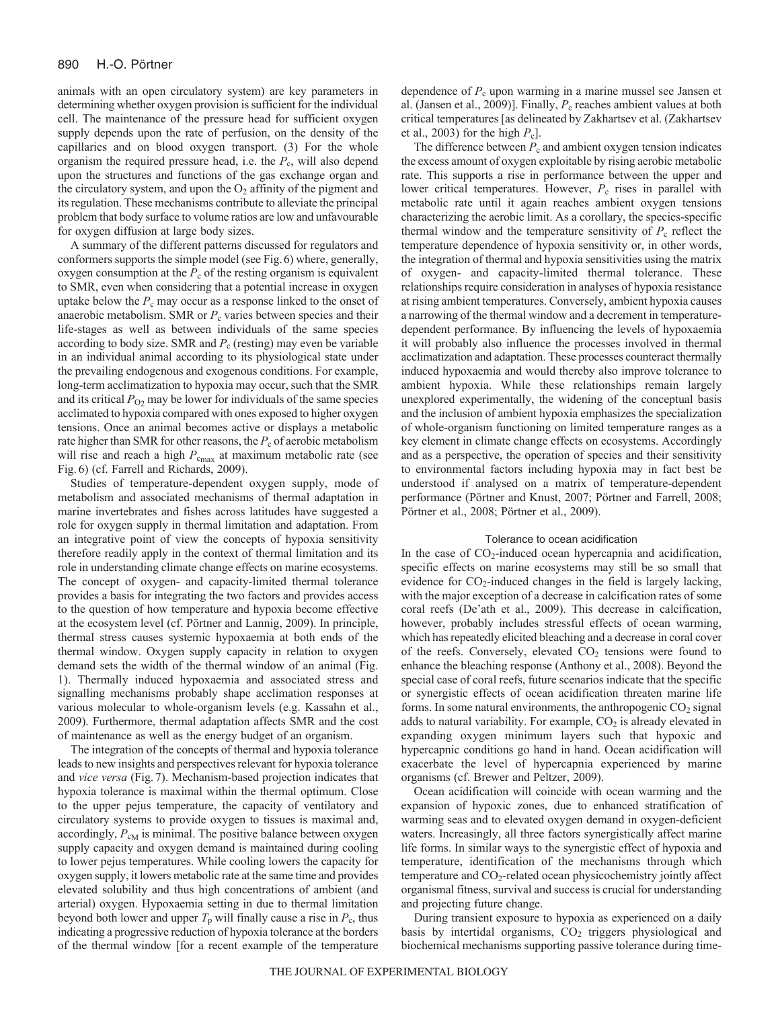animals with an open circulatory system) are key parameters in determining whether oxygen provision is sufficient for the individual cell. The maintenance of the pressure head for sufficient oxygen supply depends upon the rate of perfusion, on the density of the capillaries and on blood oxygen transport. (3) For the whole organism the required pressure head, i.e. the  $P_c$ , will also depend upon the structures and functions of the gas exchange organ and the circulatory system, and upon the  $O_2$  affinity of the pigment and its regulation. These mechanisms contribute to alleviate the principal problem that body surface to volume ratios are low and unfavourable for oxygen diffusion at large body sizes.

A summary of the different patterns discussed for regulators and conformers supports the simple model (see Fig.6) where, generally, oxygen consumption at the  $P_c$  of the resting organism is equivalent to SMR, even when considering that a potential increase in oxygen uptake below the  $P_c$  may occur as a response linked to the onset of anaerobic metabolism. SMR or  $P_c$  varies between species and their life-stages as well as between individuals of the same species according to body size. SMR and *P*<sup>c</sup> (resting) may even be variable in an individual animal according to its physiological state under the prevailing endogenous and exogenous conditions. For example, long-term acclimatization to hypoxia may occur, such that the SMR and its critical  $P_{O2}$  may be lower for individuals of the same species acclimated to hypoxia compared with ones exposed to higher oxygen tensions. Once an animal becomes active or displays a metabolic rate higher than SMR for other reasons, the  $P_c$  of aerobic metabolism will rise and reach a high  $P_{c_{\text{max}}}$  at maximum metabolic rate (see Fig. 6) (cf. Farrell and Richards, 2009).

Studies of temperature-dependent oxygen supply, mode of metabolism and associated mechanisms of thermal adaptation in marine invertebrates and fishes across latitudes have suggested a role for oxygen supply in thermal limitation and adaptation. From an integrative point of view the concepts of hypoxia sensitivity therefore readily apply in the context of thermal limitation and its role in understanding climate change effects on marine ecosystems. The concept of oxygen- and capacity-limited thermal tolerance provides a basis for integrating the two factors and provides access to the question of how temperature and hypoxia become effective at the ecosystem level (cf. Pörtner and Lannig, 2009). In principle, thermal stress causes systemic hypoxaemia at both ends of the thermal window. Oxygen supply capacity in relation to oxygen demand sets the width of the thermal window of an animal (Fig. 1). Thermally induced hypoxaemia and associated stress and signalling mechanisms probably shape acclimation responses at various molecular to whole-organism levels (e.g. Kassahn et al., 2009). Furthermore, thermal adaptation affects SMR and the cost of maintenance as well as the energy budget of an organism.

The integration of the concepts of thermal and hypoxia tolerance leads to new insights and perspectives relevant for hypoxia tolerance and *vice versa* (Fig. 7). Mechanism-based projection indicates that hypoxia tolerance is maximal within the thermal optimum. Close to the upper pejus temperature, the capacity of ventilatory and circulatory systems to provide oxygen to tissues is maximal and, accordingly,  $P_{\rm cM}$  is minimal. The positive balance between oxygen supply capacity and oxygen demand is maintained during cooling to lower pejus temperatures. While cooling lowers the capacity for oxygen supply, it lowers metabolic rate at the same time and provides elevated solubility and thus high concentrations of ambient (and arterial) oxygen. Hypoxaemia setting in due to thermal limitation beyond both lower and upper  $T_p$  will finally cause a rise in  $P_c$ , thus indicating a progressive reduction of hypoxia tolerance at the borders of the thermal window [for a recent example of the temperature dependence of  $P_c$  upon warming in a marine mussel see Jansen et al. (Jansen et al., 2009)]. Finally,  $P_c$  reaches ambient values at both critical temperatures [as delineated by Zakhartsev et al. (Zakhartsev et al., 2003) for the high *P*c].

The difference between  $P_c$  and ambient oxygen tension indicates the excess amount of oxygen exploitable by rising aerobic metabolic rate. This supports a rise in performance between the upper and lower critical temperatures. However,  $P_c$  rises in parallel with metabolic rate until it again reaches ambient oxygen tensions characterizing the aerobic limit. As a corollary, the species-specific thermal window and the temperature sensitivity of  $P_c$  reflect the temperature dependence of hypoxia sensitivity or, in other words, the integration of thermal and hypoxia sensitivities using the matrix of oxygen- and capacity-limited thermal tolerance. These relationships require consideration in analyses of hypoxia resistance at rising ambient temperatures. Conversely, ambient hypoxia causes a narrowing of the thermal window and a decrement in temperaturedependent performance. By influencing the levels of hypoxaemia it will probably also influence the processes involved in thermal acclimatization and adaptation. These processes counteract thermally induced hypoxaemia and would thereby also improve tolerance to ambient hypoxia. While these relationships remain largely unexplored experimentally, the widening of the conceptual basis and the inclusion of ambient hypoxia emphasizes the specialization of whole-organism functioning on limited temperature ranges as a key element in climate change effects on ecosystems. Accordingly and as a perspective, the operation of species and their sensitivity to environmental factors including hypoxia may in fact best be understood if analysed on a matrix of temperature-dependent performance (Pörtner and Knust, 2007; Pörtner and Farrell, 2008; Pörtner et al., 2008; Pörtner et al., 2009).

### Tolerance to ocean acidification

In the case of  $CO<sub>2</sub>$ -induced ocean hypercapnia and acidification, specific effects on marine ecosystems may still be so small that evidence for  $CO_2$ -induced changes in the field is largely lacking, with the major exception of a decrease in calcification rates of some coral reefs (De'ath et al., 2009). This decrease in calcification, however, probably includes stressful effects of ocean warming, which has repeatedly elicited bleaching and a decrease in coral cover of the reefs. Conversely, elevated  $CO<sub>2</sub>$  tensions were found to enhance the bleaching response (Anthony et al., 2008). Beyond the special case of coral reefs, future scenarios indicate that the specific or synergistic effects of ocean acidification threaten marine life forms. In some natural environments, the anthropogenic  $CO<sub>2</sub>$  signal adds to natural variability. For example,  $CO<sub>2</sub>$  is already elevated in expanding oxygen minimum layers such that hypoxic and hypercapnic conditions go hand in hand. Ocean acidification will exacerbate the level of hypercapnia experienced by marine organisms (cf. Brewer and Peltzer, 2009).

Ocean acidification will coincide with ocean warming and the expansion of hypoxic zones, due to enhanced stratification of warming seas and to elevated oxygen demand in oxygen-deficient waters. Increasingly, all three factors synergistically affect marine life forms. In similar ways to the synergistic effect of hypoxia and temperature, identification of the mechanisms through which temperature and CO<sub>2</sub>-related ocean physicochemistry jointly affect organismal fitness, survival and success is crucial for understanding and projecting future change.

During transient exposure to hypoxia as experienced on a daily basis by intertidal organisms,  $CO<sub>2</sub>$  triggers physiological and biochemical mechanisms supporting passive tolerance during time-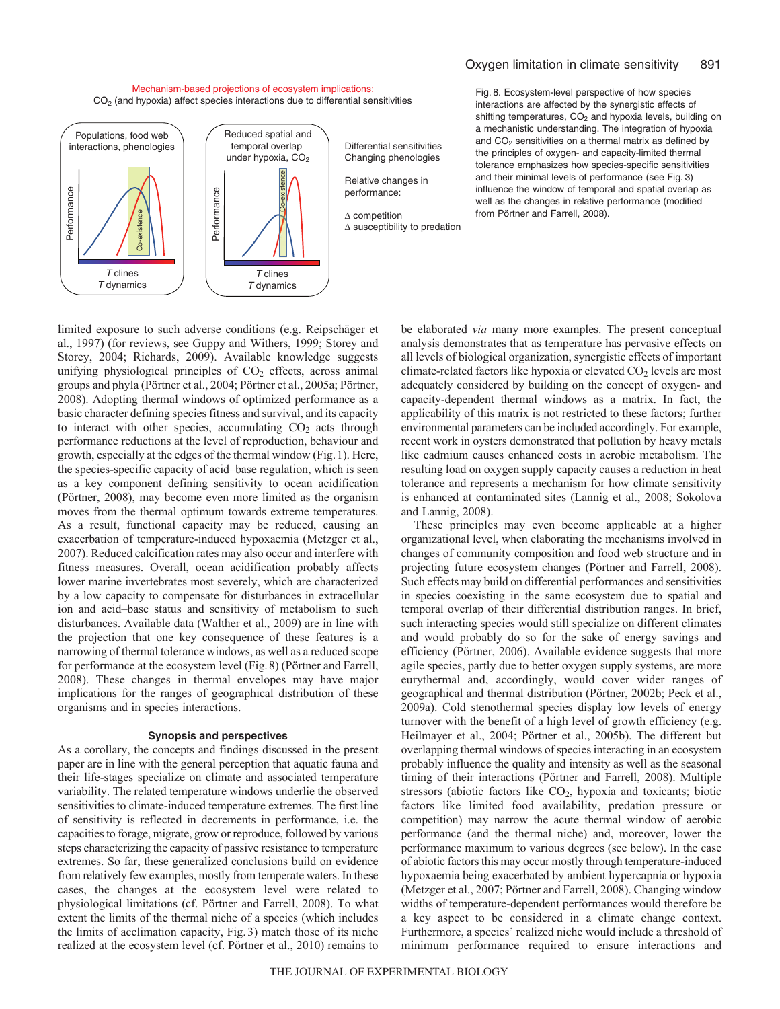### Mechanism-based projections of ecosystem implications:  $CO<sub>2</sub>$  (and hypoxia) affect species interactions due to differential sensitivities



Fig. 8. Ecosystem-level perspective of how species interactions are affected by the synergistic effects of shifting temperatures,  $CO<sub>2</sub>$  and hypoxia levels, building on a mechanistic understanding. The integration of hypoxia and  $CO<sub>2</sub>$  sensitivities on a thermal matrix as defined by the principles of oxygen- and capacity-limited thermal tolerance emphasizes how species-specific sensitivities and their minimal levels of performance (see Fig. 3) influence the window of temporal and spatial overlap as well as the changes in relative performance (modified from Pörtner and Farrell, 2008).

limited exposure to such adverse conditions (e.g. Reipschäger et al., 1997) (for reviews, see Guppy and Withers, 1999; Storey and Storey, 2004; Richards, 2009). Available knowledge suggests unifying physiological principles of  $CO<sub>2</sub>$  effects, across animal groups and phyla (Pörtner et al., 2004; Pörtner et al., 2005a; Pörtner, 2008). Adopting thermal windows of optimized performance as a basic character defining species fitness and survival, and its capacity to interact with other species, accumulating  $CO<sub>2</sub>$  acts through performance reductions at the level of reproduction, behaviour and growth, especially at the edges of the thermal window (Fig.1). Here, the species-specific capacity of acid–base regulation, which is seen as a key component defining sensitivity to ocean acidification (Pörtner, 2008), may become even more limited as the organism moves from the thermal optimum towards extreme temperatures. As a result, functional capacity may be reduced, causing an exacerbation of temperature-induced hypoxaemia (Metzger et al., 2007). Reduced calcification rates may also occur and interfere with fitness measures. Overall, ocean acidification probably affects lower marine invertebrates most severely, which are characterized by a low capacity to compensate for disturbances in extracellular ion and acid–base status and sensitivity of metabolism to such disturbances. Available data (Walther et al., 2009) are in line with the projection that one key consequence of these features is a narrowing of thermal tolerance windows, as well as a reduced scope for performance at the ecosystem level (Fig.8) (Pörtner and Farrell, 2008). These changes in thermal envelopes may have major implications for the ranges of geographical distribution of these organisms and in species interactions.

## **Synopsis and perspectives**

As a corollary, the concepts and findings discussed in the present paper are in line with the general perception that aquatic fauna and their life-stages specialize on climate and associated temperature variability. The related temperature windows underlie the observed sensitivities to climate-induced temperature extremes. The first line of sensitivity is reflected in decrements in performance, i.e. the capacities to forage, migrate, grow or reproduce, followed by various steps characterizing the capacity of passive resistance to temperature extremes. So far, these generalized conclusions build on evidence from relatively few examples, mostly from temperate waters. In these cases, the changes at the ecosystem level were related to physiological limitations (cf. Pörtner and Farrell, 2008). To what extent the limits of the thermal niche of a species (which includes the limits of acclimation capacity, Fig. 3) match those of its niche realized at the ecosystem level (cf. Pörtner et al., 2010) remains to

be elaborated *via* many more examples. The present conceptual analysis demonstrates that as temperature has pervasive effects on all levels of biological organization, synergistic effects of important climate-related factors like hypoxia or elevated  $CO<sub>2</sub>$  levels are most adequately considered by building on the concept of oxygen- and capacity-dependent thermal windows as a matrix. In fact, the applicability of this matrix is not restricted to these factors; further environmental parameters can be included accordingly. For example, recent work in oysters demonstrated that pollution by heavy metals like cadmium causes enhanced costs in aerobic metabolism. The resulting load on oxygen supply capacity causes a reduction in heat tolerance and represents a mechanism for how climate sensitivity is enhanced at contaminated sites (Lannig et al., 2008; Sokolova and Lannig, 2008).

These principles may even become applicable at a higher organizational level, when elaborating the mechanisms involved in changes of community composition and food web structure and in projecting future ecosystem changes (Pörtner and Farrell, 2008). Such effects may build on differential performances and sensitivities in species coexisting in the same ecosystem due to spatial and temporal overlap of their differential distribution ranges. In brief, such interacting species would still specialize on different climates and would probably do so for the sake of energy savings and efficiency (Pörtner, 2006). Available evidence suggests that more agile species, partly due to better oxygen supply systems, are more eurythermal and, accordingly, would cover wider ranges of geographical and thermal distribution (Pörtner, 2002b; Peck et al., 2009a). Cold stenothermal species display low levels of energy turnover with the benefit of a high level of growth efficiency (e.g. Heilmayer et al., 2004; Pörtner et al., 2005b). The different but overlapping thermal windows of species interacting in an ecosystem probably influence the quality and intensity as well as the seasonal timing of their interactions (Pörtner and Farrell, 2008). Multiple stressors (abiotic factors like CO<sub>2</sub>, hypoxia and toxicants; biotic factors like limited food availability, predation pressure or competition) may narrow the acute thermal window of aerobic performance (and the thermal niche) and, moreover, lower the performance maximum to various degrees (see below). In the case of abiotic factors this may occur mostly through temperature-induced hypoxaemia being exacerbated by ambient hypercapnia or hypoxia (Metzger et al., 2007; Pörtner and Farrell, 2008). Changing window widths of temperature-dependent performances would therefore be a key aspect to be considered in a climate change context. Furthermore, a species' realized niche would include a threshold of minimum performance required to ensure interactions and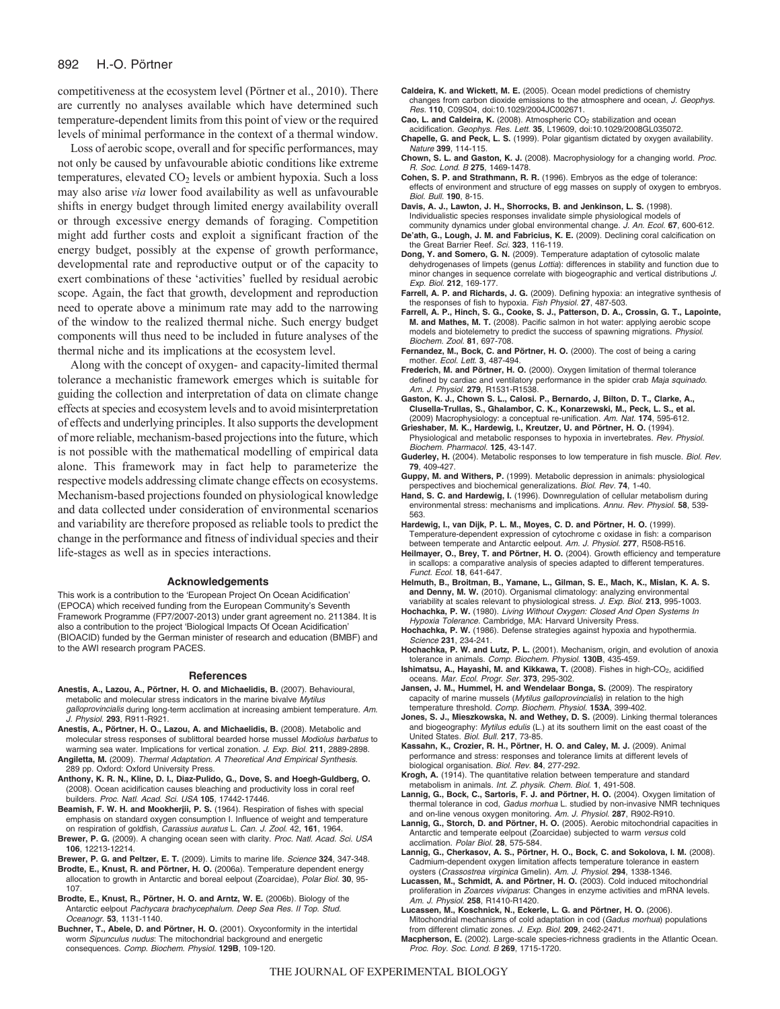competitiveness at the ecosystem level (Pörtner et al., 2010). There are currently no analyses available which have determined such temperature-dependent limits from this point of view or the required levels of minimal performance in the context of a thermal window.

Loss of aerobic scope, overall and for specific performances, may not only be caused by unfavourable abiotic conditions like extreme temperatures, elevated  $CO<sub>2</sub>$  levels or ambient hypoxia. Such a loss may also arise *via* lower food availability as well as unfavourable shifts in energy budget through limited energy availability overall or through excessive energy demands of foraging. Competition might add further costs and exploit a significant fraction of the energy budget, possibly at the expense of growth performance, developmental rate and reproductive output or of the capacity to exert combinations of these 'activities' fuelled by residual aerobic scope. Again, the fact that growth, development and reproduction need to operate above a minimum rate may add to the narrowing of the window to the realized thermal niche. Such energy budget components will thus need to be included in future analyses of the thermal niche and its implications at the ecosystem level.

Along with the concept of oxygen- and capacity-limited thermal tolerance a mechanistic framework emerges which is suitable for guiding the collection and interpretation of data on climate change effects at species and ecosystem levels and to avoid misinterpretation of effects and underlying principles. It also supports the development of more reliable, mechanism-based projections into the future, which is not possible with the mathematical modelling of empirical data alone. This framework may in fact help to parameterize the respective models addressing climate change effects on ecosystems. Mechanism-based projections founded on physiological knowledge and data collected under consideration of environmental scenarios and variability are therefore proposed as reliable tools to predict the change in the performance and fitness of individual species and their life-stages as well as in species interactions.

### **Acknowledgements**

This work is a contribution to the 'European Project On Ocean Acidification' (EPOCA) which received funding from the European Community's Seventh Framework Programme (FP7/2007-2013) under grant agreement no. 211384. It is also a contribution to the project 'Biological Impacts Of Ocean Acidification' (BIOACID) funded by the German minister of research and education (BMBF) and to the AWI research program PACES.

### **References**

- **Anestis, A., Lazou, A., Pörtner, H. O. and Michaelidis, B.** (2007). Behavioural, metabolic and molecular stress indicators in the marine bivalve Mytilus galloprovincialis during long-term acclimation at increasing ambient temperature. Am. J. Physiol. **293**, R911-R921.
- **Anestis, A., Pörtner, H. O., Lazou, A. and Michaelidis, B.** (2008). Metabolic and molecular stress responses of sublittoral bearded horse mussel Modiolus barbatus to warming sea water. Implications for vertical zonation. J. Exp. Biol. **211**, 2889-2898.
- **Angiletta, M.** (2009). Thermal Adaptation. A Theoretical And Empirical Synthesis. 289 pp. Oxford: Oxford University Press.
- **Anthony, K. R. N., Kline, D. I., Diaz-Pulido, G., Dove, S. and Hoegh-Guldberg, O.** (2008). Ocean acidification causes bleaching and productivity loss in coral reef builders. Proc. Natl. Acad. Sci. USA **105**, 17442-17446.
- **Beamish, F. W. H. and Mookherjii, P. S.** (1964). Respiration of fishes with special emphasis on standard oxygen consumption I. Influence of weight and temperature on respiration of goldfish, Carassius auratus L. Can. J. Zool. 42, **161**, 1964.
- **Brewer, P. G.** (2009). A changing ocean seen with clarity. Proc. Natl. Acad. Sci. USA **106**, 12213-12214.
- **Brewer, P. G. and Peltzer, E. T.** (2009). Limits to marine life. Science **324**, 347-348.
- **Brodte, E., Knust, R. and Pörtner, H. O.** (2006a). Temperature dependent energy allocation to growth in Antarctic and boreal eelpout (Zoarcidae), Polar Biol. **30**, 95- 107.
- **Brodte, E., Knust, R., Pörtner, H. O. and Arntz, W. E.** (2006b). Biology of the Antarctic eelpout Pachycara brachycephalum. Deep Sea Res. II Top. Stud. Oceanogr. **53**, 1131-1140.
- **Buchner, T., Abele, D. and Pörtner, H. O.** (2001). Oxyconformity in the intertidal worm Sipunculus nudus: The mitochondrial background and energetic consequences. Comp. Biochem. Physiol. **129B**, 109-120.
- **Caldeira, K. and Wickett, M. E.** (2005). Ocean model predictions of chemistry changes from carbon dioxide emissions to the atmosphere and ocean, J. Geophys. Res. **110**, C09S04, doi:10.1029/2004JC002671.
- Cao, L. and Caldeira, K. (2008). Atmospheric CO<sub>2</sub> stabilization and ocean acidification. Geophys. Res. Lett. **35**, L19609, doi:10.1029/2008GL035072. **Chapelle, G. and Peck, L. S.** (1999). Polar gigantism dictated by oxygen availability.
- Nature **399**, 114-115. **Chown, S. L. and Gaston, K. J.** (2008). Macrophysiology for a changing world. Proc.
- R. Soc. Lond. B **275**, 1469-1478.
- **Cohen, S. P. and Strathmann, R. R.** (1996). Embryos as the edge of tolerance: effects of environment and structure of egg masses on supply of oxygen to embryos. Biol. Bull. **190**, 8-15.
- **Davis, A. J., Lawton, J. H., Shorrocks, B. and Jenkinson, L. S.** (1998). Individualistic species responses invalidate simple physiological models of community dynamics under global environmental change. J. An. Ecol. **67**, 600-612.
- **De'ath, G., Lough, J. M. and Fabricius, K. E.** (2009). Declining coral calcification on the Great Barrier Reef. Sci. **323**, 116-119.
- **Dong, Y. and Somero, G. N.** (2009). Temperature adaptation of cytosolic malate dehydrogenases of limpets (genus Lottia): differences in stability and function due to minor changes in sequence correlate with biogeographic and vertical distributions J. Exp. Biol. **212**, 169-177.
- **Farrell, A. P. and Richards, J. G.** (2009). Defining hypoxia: an integrative synthesis of the responses of fish to hypoxia. Fish Physiol. **27**, 487-503.
- **Farrell, A. P., Hinch, S. G., Cooke, S. J., Patterson, D. A., Crossin, G. T., Lapointe, M. and Mathes, M. T.** (2008). Pacific salmon in hot water: applying aerobic scope models and biotelemetry to predict the success of spawning migrations. Physiol. Biochem. Zool. **81**, 697-708.
- **Fernandez, M., Bock, C. and Pörtner, H. O.** (2000). The cost of being a caring mother. Ecol. Lett. **3**, 487-494.
- **Frederich, M. and Pörtner, H. O.** (2000). Oxygen limitation of thermal tolerance defined by cardiac and ventilatory performance in the spider crab Maja squinado. Am. J. Physiol. **279**, R1531-R1538.
- **Gaston, K. J., Chown S. L., Calosi. P., Bernardo, J, Bilton, D. T., Clarke, A., Clusella-Trullas, S., Ghalambor, C. K., Konarzewski, M., Peck, L. S., et al.** (2009) Macrophysiology: a conceptual re-unification. Am. Nat. **174**, 595-612.
- **Grieshaber, M. K., Hardewig, I., Kreutzer, U. and Pörtner, H. O.** (1994). Physiological and metabolic responses to hypoxia in invertebrates. Rev. Physiol. Biochem. Pharmacol. **125**, 43-147.
- **Guderley, H.** (2004). Metabolic responses to low temperature in fish muscle. Biol. Rev. **79**, 409-427.
- **Guppy, M. and Withers, P.** (1999). Metabolic depression in animals: physiological perspectives and biochemical generalizations. Biol. Rev. **74**, 1-40.
- **Hand, S. C. and Hardewig, I.** (1996). Downregulation of cellular metabolism during environmental stress: mechanisms and implications. Annu. Rev. Physiol. **58**, 539- 563.
- **Hardewig, I., van Dijk, P. L. M., Moyes, C. D. and Pörtner, H. O.** (1999). Temperature-dependent expression of cytochrome c oxidase in fish: a comparison between temperate and Antarctic eelpout. Am. J. Physiol. **277**, R508-R516.
- **Heilmayer, O., Brey, T. and Pörtner, H. O.** (2004). Growth efficiency and temperature in scallops: a comparative analysis of species adapted to different temperatures Funct. Ecol. **18**, 641-647.
- **Helmuth, B., Broitman, B., Yamane, L., Gilman, S. E., Mach, K., Mislan, K. A. S. and Denny, M. W.** (2010). Organismal climatology: analyzing environmental variability at scales relevant to physiological stress. J. Exp. Biol. **213**, 995-1003.
- **Hochachka, P. W.** (1980). Living Without Oxygen: Closed And Open Systems In Hypoxia Tolerance. Cambridge, MA: Harvard University Press.
- **Hochachka, P. W.** (1986). Defense strategies against hypoxia and hypothermia. Science **231**, 234-241.
- **Hochachka, P. W. and Lutz, P. L.** (2001). Mechanism, origin, and evolution of anoxia tolerance in animals. Comp. Biochem. Physiol. **130B**, 435-459.
- **Ishimatsu, A., Hayashi, M. and Kikkawa, T.** (2008). Fishes in high-CO<sub>2</sub>, acidified oceans. Mar. Ecol. Progr. Ser. **373**, 295-302.
- **Jansen, J. M., Hummel, H. and Wendelaar Bonga, S.** (2009). The respiratory capacity of marine mussels (Mytilus galloprovincialis) in relation to the high temperature threshold. Comp. Biochem. Physiol. **153A**, 399-402.
- **Jones, S. J., Mieszkowska, N. and Wethey, D. S.** (2009). Linking thermal tolerances and biogeography: Mytilus edulis (L.) at its southern limit on the east coast of the United States. Biol. Bull. **217**, 73-85.
- **Kassahn, K., Crozier, R. H., Pörtner, H. O. and Caley, M. J.** (2009). Animal performance and stress: responses and tolerance limits at different levels of biological organisation. Biol. Rev. **84**, 277-292.
- **Krogh, A.** (1914). The quantitative relation between temperature and standard metabolism in animals. Int. Z. physik. Chem. Biol. **1**, 491-508.
- **Lannig, G., Bock, C., Sartoris, F. J. and Pörtner, H. O.** (2004). Oxygen limitation of thermal tolerance in cod, Gadus morhua L. studied by non-invasive NMR techniques and on-line venous oxygen monitoring. Am. J. Physiol. **287**, R902-R910.
- **Lannig, G., Storch, D. and Pörtner, H. O.** (2005). Aerobic mitochondrial capacities in Antarctic and temperate eelpout (Zoarcidae) subjected to warm versus cold acclimation. Polar Biol. **28**, 575-584.
- **Lannig, G., Cherkasov, A. S., Pörtner, H. O., Bock, C. and Sokolova, I. M.** (2008). Cadmium-dependent oxygen limitation affects temperature tolerance in eastern oysters (Crassostrea virginica Gmelin). Am. J. Physiol. **294**, 1338-1346.
- **Lucassen, M., Schmidt, A. and Pörtner, H. O.** (2003). Cold induced mitochondrial proliferation in Zoarces viviparus: Changes in enzyme activities and mRNA levels. Am. J. Physiol. **258**, R1410-R1420.
- **Lucassen, M., Koschnick, N., Eckerle, L. G. and Pörtner, H. O.** (2006). Mitochondrial mechanisms of cold adaptation in cod (Gadus morhua) populations from different climatic zones. J. Exp. Biol. **209**, 2462-2471.
- **Macpherson, E.** (2002). Large-scale species-richness gradients in the Atlantic Ocean. Proc. Roy. Soc. Lond. B **269**, 1715-1720.